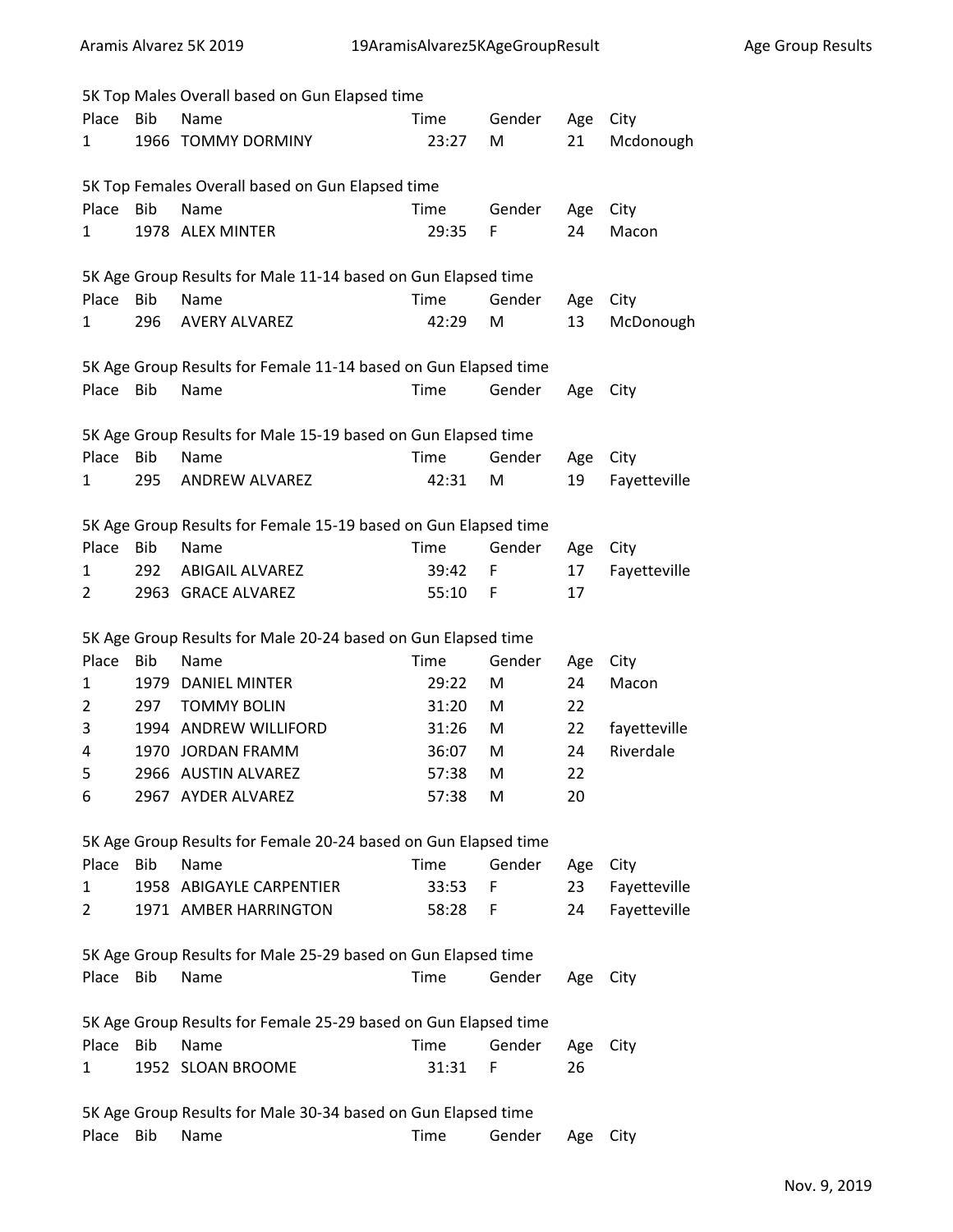|                | 5K Top Males Overall based on Gun Elapsed time |                                                                 |       |        |     |              |  |
|----------------|------------------------------------------------|-----------------------------------------------------------------|-------|--------|-----|--------------|--|
| Place          | <b>Bib</b>                                     | Name                                                            | Time  | Gender | Age | City         |  |
| 1              |                                                | 1966 TOMMY DORMINY                                              | 23:27 | M      | 21  | Mcdonough    |  |
|                |                                                | 5K Top Females Overall based on Gun Elapsed time                |       |        |     |              |  |
| Place          | <b>Bib</b>                                     | Name                                                            | Time  | Gender | Age | City         |  |
| 1              |                                                | 1978 ALEX MINTER                                                | 29:35 | F      | 24  | Macon        |  |
|                |                                                | 5K Age Group Results for Male 11-14 based on Gun Elapsed time   |       |        |     |              |  |
| Place          | <b>Bib</b>                                     | Name                                                            | Time  | Gender | Age | City         |  |
| 1              | 296                                            | <b>AVERY ALVAREZ</b>                                            | 42:29 | M      | 13  | McDonough    |  |
|                |                                                | 5K Age Group Results for Female 11-14 based on Gun Elapsed time |       |        |     |              |  |
| Place          | <b>Bib</b>                                     | Name                                                            | Time  | Gender | Age | City         |  |
|                |                                                | 5K Age Group Results for Male 15-19 based on Gun Elapsed time   |       |        |     |              |  |
| Place          | Bib                                            | Name                                                            | Time  | Gender | Age | City         |  |
| 1              | 295                                            | <b>ANDREW ALVAREZ</b>                                           | 42:31 | M      | 19  | Fayetteville |  |
|                |                                                | 5K Age Group Results for Female 15-19 based on Gun Elapsed time |       |        |     |              |  |
| Place          | Bib                                            | Name                                                            | Time  | Gender | Age | City         |  |
| 1              | 292                                            | <b>ABIGAIL ALVAREZ</b>                                          | 39:42 | F      | 17  | Fayetteville |  |
| 2              |                                                | 2963 GRACE ALVAREZ                                              | 55:10 | F      | 17  |              |  |
|                |                                                | 5K Age Group Results for Male 20-24 based on Gun Elapsed time   |       |        |     |              |  |
| Place          | <b>Bib</b>                                     | Name                                                            | Time  | Gender | Age | City         |  |
| 1              |                                                | 1979 DANIEL MINTER                                              | 29:22 | M      | 24  | Macon        |  |
| $\overline{2}$ | 297                                            | <b>TOMMY BOLIN</b>                                              | 31:20 | M      | 22  |              |  |
| 3              |                                                | 1994 ANDREW WILLIFORD                                           | 31:26 | M      | 22  | fayetteville |  |
| 4              | 1970                                           | <b>JORDAN FRAMM</b>                                             | 36:07 | M      | 24  | Riverdale    |  |
| 5              |                                                | 2966 AUSTIN ALVAREZ                                             | 57:38 | M      | 22  |              |  |
| 6              |                                                | 2967 AYDER ALVAREZ                                              | 57:38 | M      | 20  |              |  |
|                |                                                | 5K Age Group Results for Female 20-24 based on Gun Elapsed time |       |        |     |              |  |
| Place          | Bib                                            | Name                                                            | Time  | Gender | Age | City         |  |
| 1              |                                                | 1958 ABIGAYLE CARPENTIER                                        | 33:53 | F      | 23  | Fayetteville |  |
| 2              |                                                | 1971 AMBER HARRINGTON                                           | 58:28 | F      | 24  | Fayetteville |  |
|                |                                                | 5K Age Group Results for Male 25-29 based on Gun Elapsed time   |       |        |     |              |  |
| Place          | <b>Bib</b>                                     | Name                                                            | Time  | Gender | Age | City         |  |
|                |                                                | 5K Age Group Results for Female 25-29 based on Gun Elapsed time |       |        |     |              |  |
| Place          | <b>Bib</b>                                     | Name                                                            | Time  | Gender | Age | City         |  |
| 1              |                                                | 1952 SLOAN BROOME                                               | 31:31 | F      | 26  |              |  |
|                |                                                | 5K Age Group Results for Male 30-34 based on Gun Elapsed time   |       |        |     |              |  |
| Place          | Bib                                            | Name                                                            | Time  | Gender | Age | City         |  |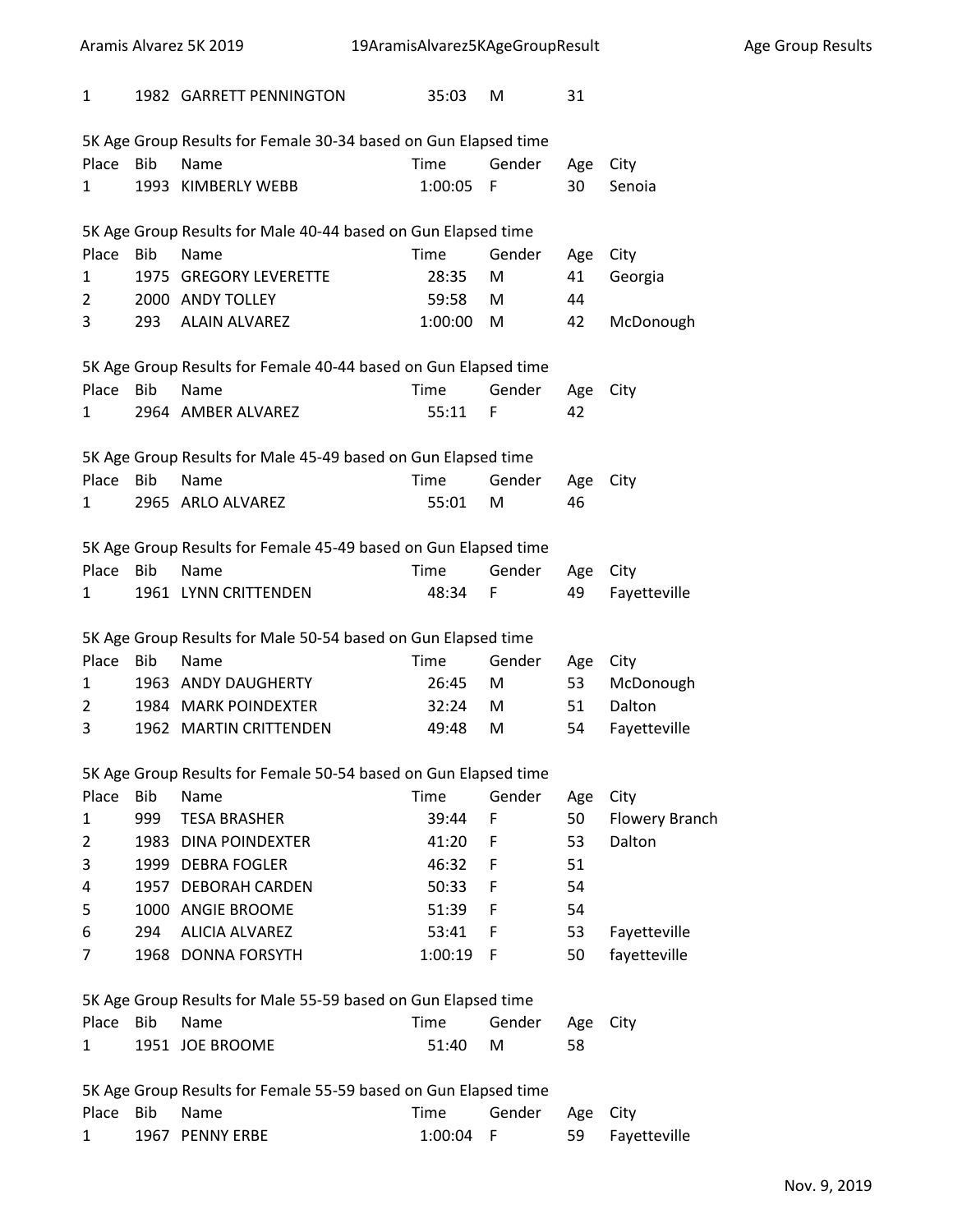| Aramis Alvarez 5K 2019 |            | 19AramisAlvarez5KAgeGroupResult                                 |      |           |        |     | Age Group Results |  |  |
|------------------------|------------|-----------------------------------------------------------------|------|-----------|--------|-----|-------------------|--|--|
| $\mathbf{1}$           |            | 1982 GARRETT PENNINGTON                                         |      | 35:03     | M      | 31  |                   |  |  |
|                        |            | 5K Age Group Results for Female 30-34 based on Gun Elapsed time |      |           |        |     |                   |  |  |
| Place                  | <b>Bib</b> | Name                                                            | Time |           | Gender | Age | City              |  |  |
| 1                      |            | 1993 KIMBERLY WEBB                                              |      | 1:00:05   | - F    | 30  | Senoia            |  |  |
|                        |            | 5K Age Group Results for Male 40-44 based on Gun Elapsed time   |      |           |        |     |                   |  |  |
| Place                  | Bib        | Name                                                            | Time |           | Gender | Age | City              |  |  |
| 1                      |            | 1975 GREGORY LEVERETTE                                          |      | 28:35     | M      | 41  | Georgia           |  |  |
| 2                      |            | 2000 ANDY TOLLEY                                                |      | 59:58     | M      | 44  |                   |  |  |
| 3                      | 293        | ALAIN ALVAREZ                                                   |      | 1:00:00   | M      | 42  | McDonough         |  |  |
|                        |            | 5K Age Group Results for Female 40-44 based on Gun Elapsed time |      |           |        |     |                   |  |  |
| Place                  | Bib        | Name                                                            | Time |           | Gender | Age | City              |  |  |
| 1                      |            | 2964 AMBER ALVAREZ                                              |      | 55:11     | F      | 42  |                   |  |  |
|                        |            | 5K Age Group Results for Male 45-49 based on Gun Elapsed time   |      |           |        |     |                   |  |  |
| Place                  | <b>Bib</b> | Name                                                            | Time |           | Gender | Age | City              |  |  |
| 1                      |            | 2965 ARLO ALVAREZ                                               |      | 55:01     | M      | 46  |                   |  |  |
|                        |            | 5K Age Group Results for Female 45-49 based on Gun Elapsed time |      |           |        |     |                   |  |  |
| Place Bib              |            | Name                                                            | Time |           | Gender | Age | City              |  |  |
| 1                      |            | 1961 LYNN CRITTENDEN                                            |      | 48:34     | F      | 49  | Fayetteville      |  |  |
|                        |            | 5K Age Group Results for Male 50-54 based on Gun Elapsed time   |      |           |        |     |                   |  |  |
| Place                  | Bib        | Name                                                            | Time |           | Gender | Age | City              |  |  |
| 1                      |            | 1963 ANDY DAUGHERTY                                             |      | 26:45     | M      | 53  | McDonough         |  |  |
| 2                      |            | 1984 MARK POINDEXTER                                            |      | 32:24     | M      | 51  | Dalton            |  |  |
| 3                      |            | 1962 MARTIN CRITTENDEN                                          |      | 49:48     | M      | 54  | Fayetteville      |  |  |
|                        |            | 5K Age Group Results for Female 50-54 based on Gun Elapsed time |      |           |        |     |                   |  |  |
| Place                  | Bib        | Name                                                            | Time |           | Gender | Age | City              |  |  |
| 1                      | 999        | <b>TESA BRASHER</b>                                             |      | 39:44     | F      | 50  | Flowery Branch    |  |  |
| 2                      |            | 1983 DINA POINDEXTER                                            |      | 41:20     | F      | 53  | Dalton            |  |  |
| 3                      |            | 1999 DEBRA FOGLER                                               |      | 46:32     | F.     | 51  |                   |  |  |
| 4                      |            | 1957 DEBORAH CARDEN                                             |      | 50:33     | F      | 54  |                   |  |  |
| 5                      |            | 1000 ANGIE BROOME                                               |      | 51:39     | F.     | 54  |                   |  |  |
| 6                      | 294        | <b>ALICIA ALVAREZ</b>                                           |      | 53:41     | F.     | 53  | Fayetteville      |  |  |
| 7                      |            | 1968 DONNA FORSYTH                                              |      | 1:00:19 F |        | 50  | fayetteville      |  |  |
|                        |            | 5K Age Group Results for Male 55-59 based on Gun Elapsed time   |      |           |        |     |                   |  |  |
| Place                  | <b>Bib</b> | Name                                                            | Time |           | Gender | Age | City              |  |  |
| 1                      |            | 1951 JOE BROOME                                                 |      | 51:40     | M      | 58  |                   |  |  |
|                        |            | 5K Age Group Results for Female 55-59 based on Gun Elapsed time |      |           |        |     |                   |  |  |
| Place Bib              |            | Name                                                            | Time |           | Gender | Age | City              |  |  |
| 1                      |            | 1967 PENNY ERBE                                                 |      | 1:00:04   | F      | 59  | Fayetteville      |  |  |